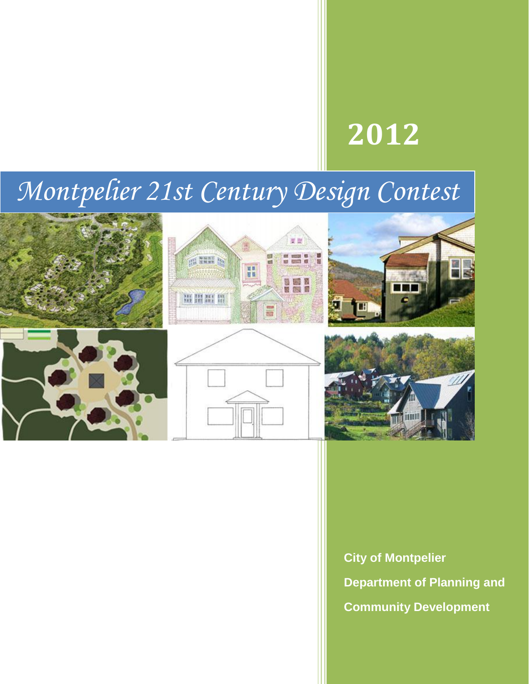# **2012**

# *Montpelier 21st Century Design Contest*





**City of Montpelier Department of Planning and Community Development**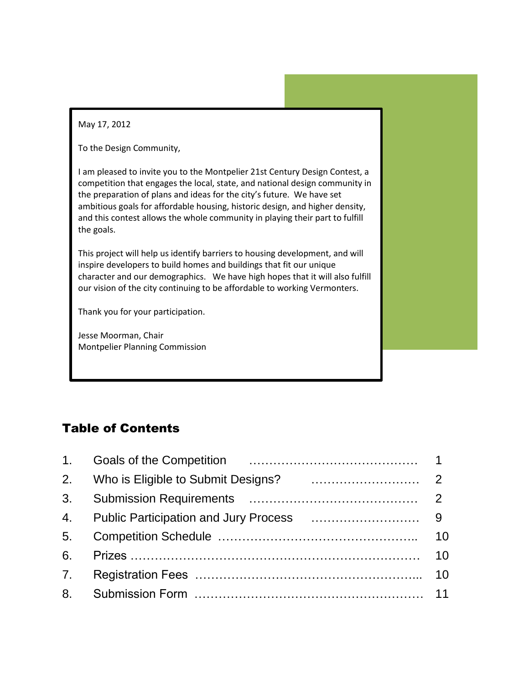May 17, 2012

To the Design Community,

I am pleased to invite you to the Montpelier 21st Century Design Contest, a competition that engages the local, state, and national design community in the preparation of plans and ideas for the city's future. We have set ambitious goals for affordable housing, historic design, and higher density, and this contest allows the whole community in playing their part to fulfill the goals.

This project will help us identify barriers to housing development, and will inspire developers to build homes and buildings that fit our unique character and our demographics. We have high hopes that it will also fulfill our vision of the city continuing to be affordable to working Vermonters.

Thank you for your participation.

Jesse Moorman, Chair Montpelier Planning Commission

# Table of Contents

| 3 <sub>l</sub> |    |
|----------------|----|
| 4.             |    |
| 5 <sub>1</sub> | 10 |
| 6.             | 10 |
| 7 <sup>1</sup> | 10 |
| 8 <sub>1</sub> |    |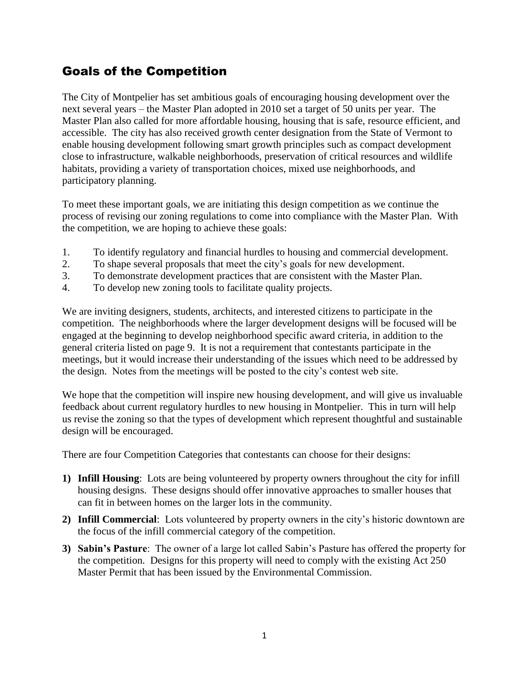# Goals of the Competition

The City of Montpelier has set ambitious goals of encouraging housing development over the next several years – the Master Plan adopted in 2010 set a target of 50 units per year. The Master Plan also called for more affordable housing, housing that is safe, resource efficient, and accessible. The city has also received growth center designation from the State of Vermont to enable housing development following smart growth principles such as compact development close to infrastructure, walkable neighborhoods, preservation of critical resources and wildlife habitats, providing a variety of transportation choices, mixed use neighborhoods, and participatory planning.

To meet these important goals, we are initiating this design competition as we continue the process of revising our zoning regulations to come into compliance with the Master Plan. With the competition, we are hoping to achieve these goals:

- 1. To identify regulatory and financial hurdles to housing and commercial development.
- 2. To shape several proposals that meet the city's goals for new development.
- 3. To demonstrate development practices that are consistent with the Master Plan.
- 4. To develop new zoning tools to facilitate quality projects.

We are inviting designers, students, architects, and interested citizens to participate in the competition. The neighborhoods where the larger development designs will be focused will be engaged at the beginning to develop neighborhood specific award criteria, in addition to the general criteria listed on page 9. It is not a requirement that contestants participate in the meetings, but it would increase their understanding of the issues which need to be addressed by the design. Notes from the meetings will be posted to the city's contest web site.

We hope that the competition will inspire new housing development, and will give us invaluable feedback about current regulatory hurdles to new housing in Montpelier. This in turn will help us revise the zoning so that the types of development which represent thoughtful and sustainable design will be encouraged.

There are four Competition Categories that contestants can choose for their designs:

- **1) Infill Housing**: Lots are being volunteered by property owners throughout the city for infill housing designs. These designs should offer innovative approaches to smaller houses that can fit in between homes on the larger lots in the community.
- **2) Infill Commercial**: Lots volunteered by property owners in the city's historic downtown are the focus of the infill commercial category of the competition.
- **3) Sabin's Pasture**: The owner of a large lot called Sabin's Pasture has offered the property for the competition. Designs for this property will need to comply with the existing Act 250 Master Permit that has been issued by the Environmental Commission.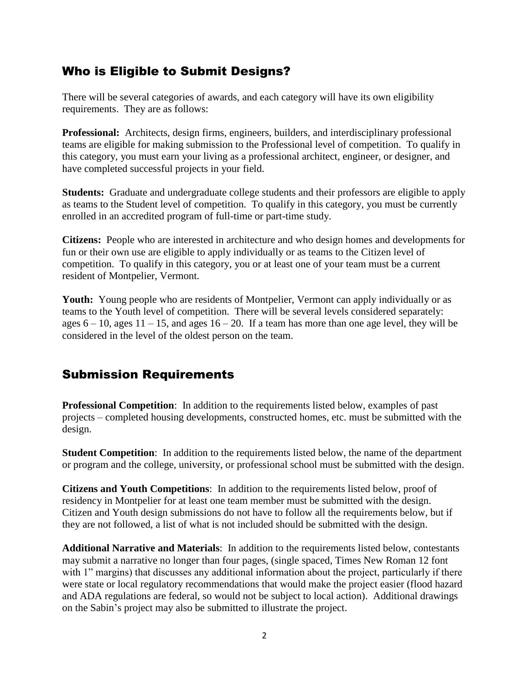## Who is Eligible to Submit Designs?

There will be several categories of awards, and each category will have its own eligibility requirements. They are as follows:

**Professional:** Architects, design firms, engineers, builders, and interdisciplinary professional teams are eligible for making submission to the Professional level of competition. To qualify in this category, you must earn your living as a professional architect, engineer, or designer, and have completed successful projects in your field.

**Students:** Graduate and undergraduate college students and their professors are eligible to apply as teams to the Student level of competition. To qualify in this category, you must be currently enrolled in an accredited program of full-time or part-time study.

**Citizens:** People who are interested in architecture and who design homes and developments for fun or their own use are eligible to apply individually or as teams to the Citizen level of competition. To qualify in this category, you or at least one of your team must be a current resident of Montpelier, Vermont.

**Youth:** Young people who are residents of Montpelier, Vermont can apply individually or as teams to the Youth level of competition. There will be several levels considered separately: ages  $6 - 10$ , ages  $11 - 15$ , and ages  $16 - 20$ . If a team has more than one age level, they will be considered in the level of the oldest person on the team.

# Submission Requirements

**Professional Competition**: In addition to the requirements listed below, examples of past projects – completed housing developments, constructed homes, etc. must be submitted with the design.

**Student Competition:** In addition to the requirements listed below, the name of the department or program and the college, university, or professional school must be submitted with the design.

**Citizens and Youth Competitions**: In addition to the requirements listed below, proof of residency in Montpelier for at least one team member must be submitted with the design. Citizen and Youth design submissions do not have to follow all the requirements below, but if they are not followed, a list of what is not included should be submitted with the design.

**Additional Narrative and Materials**: In addition to the requirements listed below, contestants may submit a narrative no longer than four pages, (single spaced, Times New Roman 12 font with 1" margins) that discusses any additional information about the project, particularly if there were state or local regulatory recommendations that would make the project easier (flood hazard and ADA regulations are federal, so would not be subject to local action). Additional drawings on the Sabin's project may also be submitted to illustrate the project.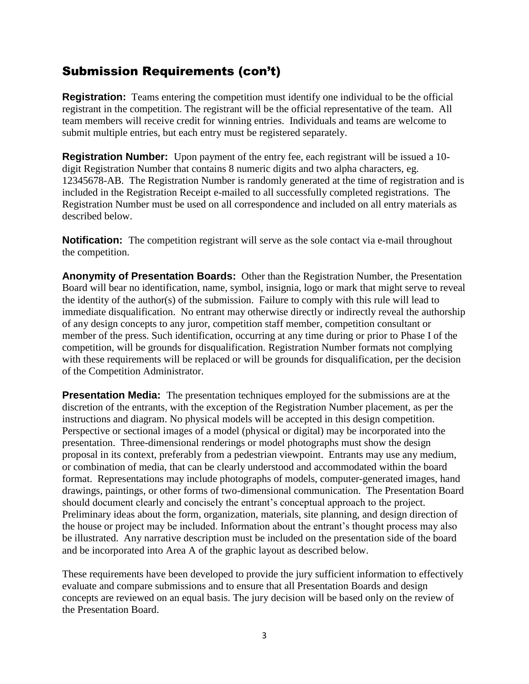# Submission Requirements (con't)

**Registration:** Teams entering the competition must identify one individual to be the official registrant in the competition. The registrant will be the official representative of the team. All team members will receive credit for winning entries. Individuals and teams are welcome to submit multiple entries, but each entry must be registered separately.

**Registration Number:** Upon payment of the entry fee, each registrant will be issued a 10 digit Registration Number that contains 8 numeric digits and two alpha characters, eg. 12345678-AB. The Registration Number is randomly generated at the time of registration and is included in the Registration Receipt e-mailed to all successfully completed registrations. The Registration Number must be used on all correspondence and included on all entry materials as described below.

**Notification:** The competition registrant will serve as the sole contact via e-mail throughout the competition.

**Anonymity of Presentation Boards:** Other than the Registration Number, the Presentation Board will bear no identification, name, symbol, insignia, logo or mark that might serve to reveal the identity of the author(s) of the submission. Failure to comply with this rule will lead to immediate disqualification. No entrant may otherwise directly or indirectly reveal the authorship of any design concepts to any juror, competition staff member, competition consultant or member of the press. Such identification, occurring at any time during or prior to Phase I of the competition, will be grounds for disqualification. Registration Number formats not complying with these requirements will be replaced or will be grounds for disqualification, per the decision of the Competition Administrator.

**Presentation Media:** The presentation techniques employed for the submissions are at the discretion of the entrants, with the exception of the Registration Number placement, as per the instructions and diagram. No physical models will be accepted in this design competition. Perspective or sectional images of a model (physical or digital) may be incorporated into the presentation. Three-dimensional renderings or model photographs must show the design proposal in its context, preferably from a pedestrian viewpoint. Entrants may use any medium, or combination of media, that can be clearly understood and accommodated within the board format. Representations may include photographs of models, computer-generated images, hand drawings, paintings, or other forms of two-dimensional communication. The Presentation Board should document clearly and concisely the entrant's conceptual approach to the project. Preliminary ideas about the form, organization, materials, site planning, and design direction of the house or project may be included. Information about the entrant's thought process may also be illustrated. Any narrative description must be included on the presentation side of the board and be incorporated into Area A of the graphic layout as described below.

These requirements have been developed to provide the jury sufficient information to effectively evaluate and compare submissions and to ensure that all Presentation Boards and design concepts are reviewed on an equal basis. The jury decision will be based only on the review of the Presentation Board.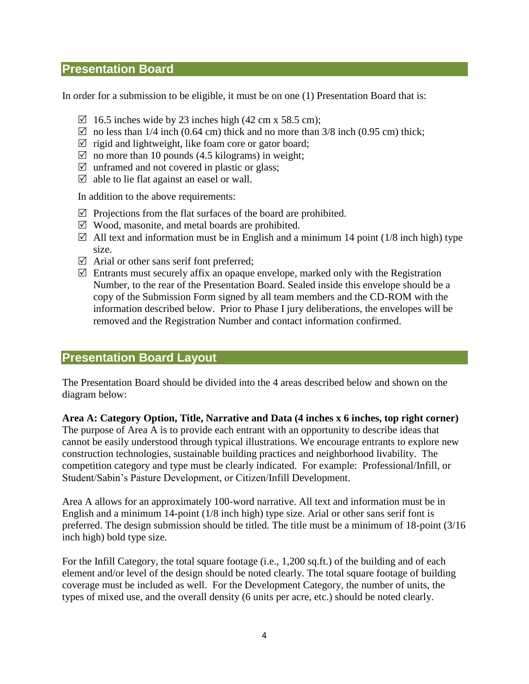## **Presentation Board**

In order for a submission to be eligible, it must be on one (1) Presentation Board that is:

- $\boxtimes$  16.5 inches wide by 23 inches high (42 cm x 58.5 cm);
- $\boxtimes$  no less than 1/4 inch (0.64 cm) thick and no more than 3/8 inch (0.95 cm) thick;
- $\triangledown$  rigid and lightweight, like foam core or gator board;
- $\boxtimes$  no more than 10 pounds (4.5 kilograms) in weight;
- $\triangledown$  unframed and not covered in plastic or glass;
- $\triangledown$  able to lie flat against an easel or wall.

In addition to the above requirements:

- $\boxtimes$  Projections from the flat surfaces of the board are prohibited.
- $\boxtimes$  Wood, masonite, and metal boards are prohibited.
- $\boxtimes$  All text and information must be in English and a minimum 14 point (1/8 inch high) type size.
- $\boxtimes$  Arial or other sans serif font preferred;
- $\boxtimes$  Entrants must securely affix an opaque envelope, marked only with the Registration Number, to the rear of the Presentation Board. Sealed inside this envelope should be a copy of the Submission Form signed by all team members and the CD-ROM with the information described below. Prior to Phase I jury deliberations, the envelopes will be removed and the Registration Number and contact information confirmed.

## **Presentation Board Layout**

The Presentation Board should be divided into the 4 areas described below and shown on the diagram below:

**Area A: Category Option, Title, Narrative and Data (4 inches x 6 inches, top right corner)**

The purpose of Area A is to provide each entrant with an opportunity to describe ideas that cannot be easily understood through typical illustrations. We encourage entrants to explore new construction technologies, sustainable building practices and neighborhood livability. The competition category and type must be clearly indicated. For example: Professional/Infill, or Student/Sabin's Pasture Development, or Citizen/Infill Development.

Area A allows for an approximately 100-word narrative. All text and information must be in English and a minimum 14-point (1/8 inch high) type size. Arial or other sans serif font is preferred. The design submission should be titled. The title must be a minimum of 18-point (3/16 inch high) bold type size.

For the Infill Category, the total square footage (i.e., 1,200 sq.ft.) of the building and of each element and/or level of the design should be noted clearly. The total square footage of building coverage must be included as well. For the Development Category, the number of units, the types of mixed use, and the overall density (6 units per acre, etc.) should be noted clearly.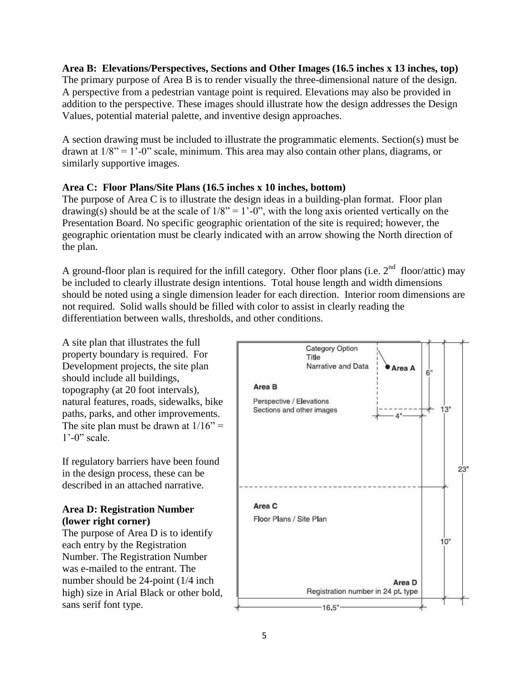**Area B: Elevations/Perspectives, Sections and Other Images (16.5 inches x 13 inches, top)** The primary purpose of Area B is to render visually the three-dimensional nature of the design. A perspective from a pedestrian vantage point is required. Elevations may also be provided in addition to the perspective. These images should illustrate how the design addresses the Design Values, potential material palette, and inventive design approaches.

A section drawing must be included to illustrate the programmatic elements. Section(s) must be drawn at  $1/8$ " = 1'-0" scale, minimum. This area may also contain other plans, diagrams, or similarly supportive images.

#### **Area C: Floor Plans/Site Plans (16.5 inches x 10 inches, bottom)**

The purpose of Area C is to illustrate the design ideas in a building-plan format. Floor plan drawing(s) should be at the scale of  $1/8$ " = 1'-0", with the long axis oriented vertically on the Presentation Board. No specific geographic orientation of the site is required; however, the geographic orientation must be clearly indicated with an arrow showing the North direction of the plan.

A ground-floor plan is required for the infill category. Other floor plans (i.e.  $2<sup>nd</sup>$  floor/attic) may be included to clearly illustrate design intentions. Total house length and width dimensions should be noted using a single dimension leader for each direction. Interior room dimensions are not required. Solid walls should be filled with color to assist in clearly reading the differentiation between walls, thresholds, and other conditions.

A site plan that illustrates the full property boundary is required. For Development projects, the site plan should include all buildings, topography (at 20 foot intervals), natural features, roads, sidewalks, bike paths, parks, and other improvements. The site plan must be drawn at  $1/16$ " =  $1'-0$ " scale.

If regulatory barriers have been found in the design process, these can be described in an attached narrative.

#### **Area D: Registration Number (lower right corner)**

The purpose of Area D is to identify each entry by the Registration Number. The Registration Number was e-mailed to the entrant. The number should be 24-point (1/4 inch high) size in Arial Black or other bold, sans serif font type.

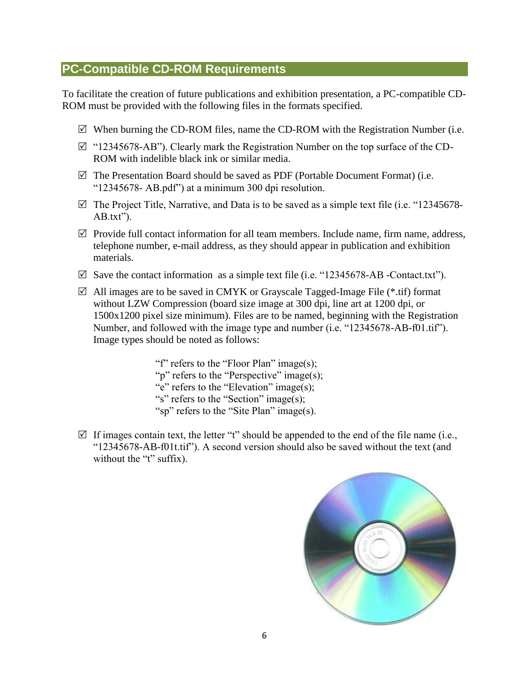## **PC-Compatible CD-ROM Requirements**

To facilitate the creation of future publications and exhibition presentation, a PC-compatible CD-ROM must be provided with the following files in the formats specified.

- $\boxtimes$  When burning the CD-ROM files, name the CD-ROM with the Registration Number (i.e.
- $\boxtimes$  "12345678-AB"). Clearly mark the Registration Number on the top surface of the CD-ROM with indelible black ink or similar media.
- $\boxtimes$  The Presentation Board should be saved as PDF (Portable Document Format) (i.e. "12345678- AB.pdf") at a minimum 300 dpi resolution.
- $\boxtimes$  The Project Title, Narrative, and Data is to be saved as a simple text file (i.e. "12345678-AB.txt").
- $\boxtimes$  Provide full contact information for all team members. Include name, firm name, address, telephone number, e-mail address, as they should appear in publication and exhibition materials.
- $\boxtimes$  Save the contact information as a simple text file (i.e. "12345678-AB -Contact.txt").
- $\boxtimes$  All images are to be saved in CMYK or Grayscale Tagged-Image File (\*.tif) format without LZW Compression (board size image at 300 dpi, line art at 1200 dpi, or 1500x1200 pixel size minimum). Files are to be named, beginning with the Registration Number, and followed with the image type and number (i.e. "12345678-AB-f01.tif"). Image types should be noted as follows:

"f" refers to the "Floor Plan" image(s); "p" refers to the "Perspective" image(s); "e" refers to the "Elevation" image(s); "s" refers to the "Section" image(s); "sp" refers to the "Site Plan" image(s).

 $\boxtimes$  If images contain text, the letter "t" should be appended to the end of the file name (i.e., "12345678-AB-f01t.tif"). A second version should also be saved without the text (and without the "t" suffix).

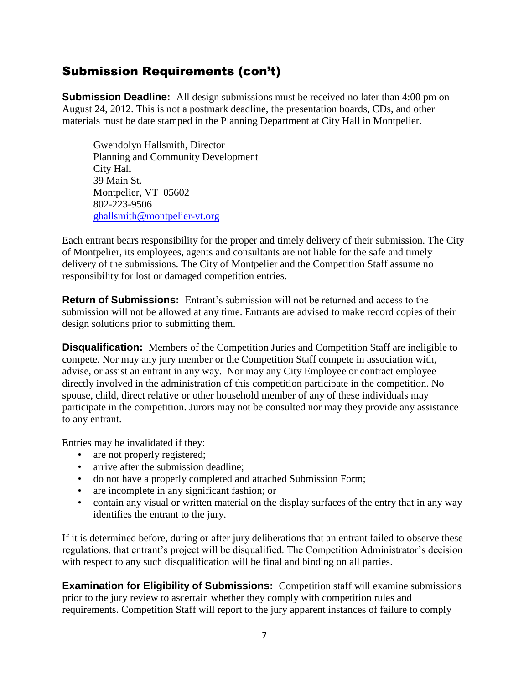# Submission Requirements (con't)

**Submission Deadline:** All design submissions must be received no later than 4:00 pm on August 24, 2012. This is not a postmark deadline, the presentation boards, CDs, and other materials must be date stamped in the Planning Department at City Hall in Montpelier.

Gwendolyn Hallsmith, Director Planning and Community Development City Hall 39 Main St. Montpelier, VT 05602 802-223-9506 [ghallsmith@montpelier-vt.org](mailto:ghallsmith@montpelier-vt.org)

Each entrant bears responsibility for the proper and timely delivery of their submission. The City of Montpelier, its employees, agents and consultants are not liable for the safe and timely delivery of the submissions. The City of Montpelier and the Competition Staff assume no responsibility for lost or damaged competition entries.

**Return of Submissions:** Entrant's submission will not be returned and access to the submission will not be allowed at any time. Entrants are advised to make record copies of their design solutions prior to submitting them.

**Disqualification:** Members of the Competition Juries and Competition Staff are ineligible to compete. Nor may any jury member or the Competition Staff compete in association with, advise, or assist an entrant in any way. Nor may any City Employee or contract employee directly involved in the administration of this competition participate in the competition. No spouse, child, direct relative or other household member of any of these individuals may participate in the competition. Jurors may not be consulted nor may they provide any assistance to any entrant.

Entries may be invalidated if they:

- are not properly registered;
- arrive after the submission deadline:
- do not have a properly completed and attached Submission Form;
- are incomplete in any significant fashion; or
- contain any visual or written material on the display surfaces of the entry that in any way identifies the entrant to the jury.

If it is determined before, during or after jury deliberations that an entrant failed to observe these regulations, that entrant's project will be disqualified. The Competition Administrator's decision with respect to any such disqualification will be final and binding on all parties.

**Examination for Eligibility of Submissions:** Competition staff will examine submissions prior to the jury review to ascertain whether they comply with competition rules and requirements. Competition Staff will report to the jury apparent instances of failure to comply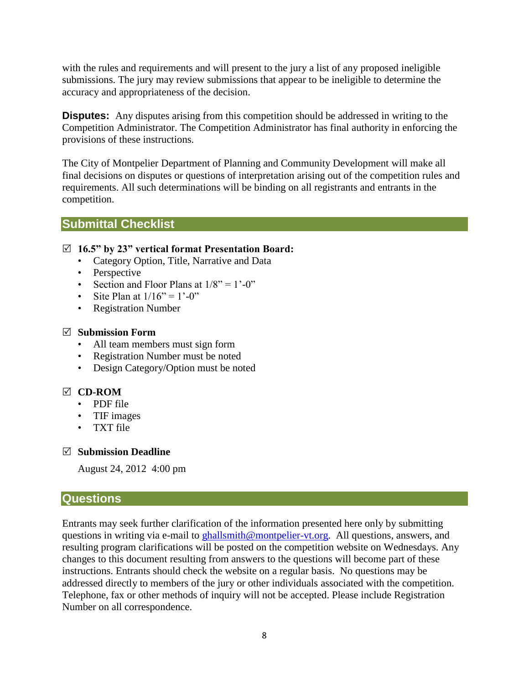with the rules and requirements and will present to the jury a list of any proposed ineligible submissions. The jury may review submissions that appear to be ineligible to determine the accuracy and appropriateness of the decision.

**Disputes:** Any disputes arising from this competition should be addressed in writing to the Competition Administrator. The Competition Administrator has final authority in enforcing the provisions of these instructions.

The City of Montpelier Department of Planning and Community Development will make all final decisions on disputes or questions of interpretation arising out of the competition rules and requirements. All such determinations will be binding on all registrants and entrants in the competition.

## **Submittal Checklist**

#### **16.5" by 23" vertical format Presentation Board:**

- Category Option, Title, Narrative and Data
- Perspective
- Section and Floor Plans at  $1/8$ " =  $1^{\circ}$ -0"
- Site Plan at  $1/16$ " =  $1'-0$ "
- Registration Number

#### **Submission Form**

- All team members must sign form
- Registration Number must be noted
- Design Category/Option must be noted

### **CD-ROM**

- PDF file
- TIF images
- TXT file

#### **Submission Deadline**

August 24, 2012 4:00 pm

### **Questions**

Entrants may seek further clarification of the information presented here only by submitting questions in writing via e-mail to [ghallsmith@montpelier-vt.org.](mailto:ghallsmith@montpelier-vt.org) All questions, answers, and resulting program clarifications will be posted on the competition website on Wednesdays. Any changes to this document resulting from answers to the questions will become part of these instructions. Entrants should check the website on a regular basis. No questions may be addressed directly to members of the jury or other individuals associated with the competition. Telephone, fax or other methods of inquiry will not be accepted. Please include Registration Number on all correspondence.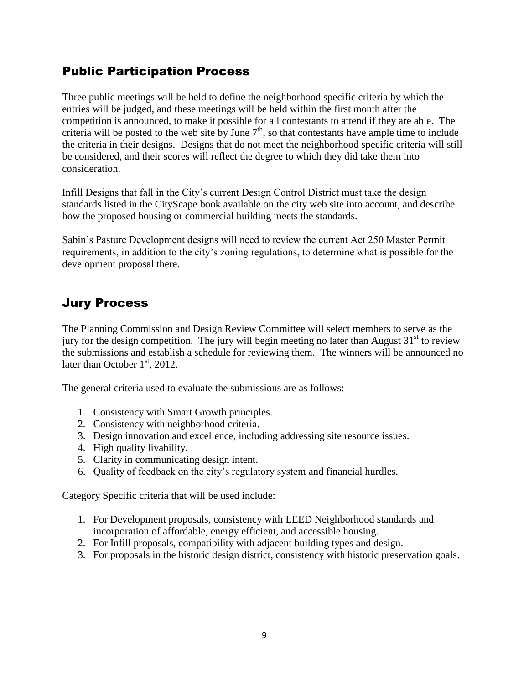## Public Participation Process

Three public meetings will be held to define the neighborhood specific criteria by which the entries will be judged, and these meetings will be held within the first month after the competition is announced, to make it possible for all contestants to attend if they are able. The criteria will be posted to the web site by June  $7<sup>th</sup>$ , so that contestants have ample time to include the criteria in their designs. Designs that do not meet the neighborhood specific criteria will still be considered, and their scores will reflect the degree to which they did take them into consideration.

Infill Designs that fall in the City's current Design Control District must take the design standards listed in the CityScape book available on the city web site into account, and describe how the proposed housing or commercial building meets the standards.

Sabin's Pasture Development designs will need to review the current Act 250 Master Permit requirements, in addition to the city's zoning regulations, to determine what is possible for the development proposal there.

# Jury Process

The Planning Commission and Design Review Committee will select members to serve as the jury for the design competition. The jury will begin meeting no later than August  $31<sup>st</sup>$  to review the submissions and establish a schedule for reviewing them. The winners will be announced no later than October  $1<sup>st</sup>$ , 2012.

The general criteria used to evaluate the submissions are as follows:

- 1. Consistency with Smart Growth principles.
- 2. Consistency with neighborhood criteria.
- 3. Design innovation and excellence, including addressing site resource issues.
- 4. High quality livability.
- 5. Clarity in communicating design intent.
- 6. Quality of feedback on the city's regulatory system and financial hurdles.

Category Specific criteria that will be used include:

- 1. For Development proposals, consistency with LEED Neighborhood standards and incorporation of affordable, energy efficient, and accessible housing.
- 2. For Infill proposals, compatibility with adjacent building types and design.
- 3. For proposals in the historic design district, consistency with historic preservation goals.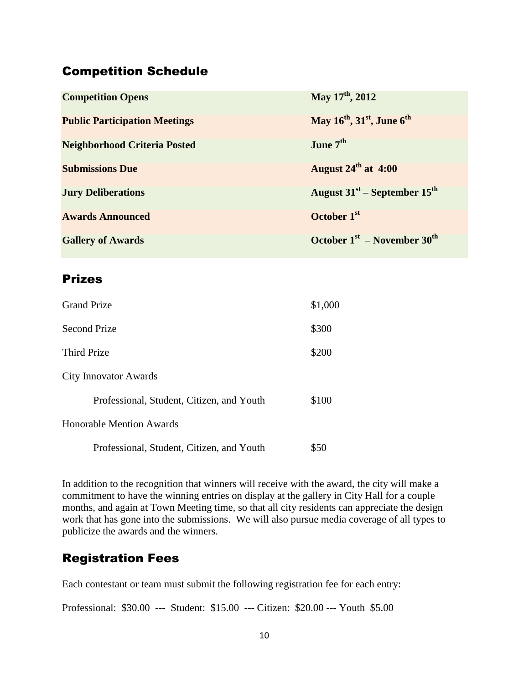## Competition Schedule

| <b>Competition Opens</b>             | May 17 <sup>th</sup> , 2012                                    |
|--------------------------------------|----------------------------------------------------------------|
| <b>Public Participation Meetings</b> | May 16 <sup>th</sup> , 31 <sup>st</sup> , June 6 <sup>th</sup> |
| <b>Neighborhood Criteria Posted</b>  | June 7 <sup>th</sup>                                           |
| <b>Submissions Due</b>               | August $24^{\text{th}}$ at 4:00                                |
| <b>Jury Deliberations</b>            | August $31^{st}$ – September $15^{th}$                         |
| <b>Awards Announced</b>              | October 1 <sup>st</sup>                                        |
| <b>Gallery of Awards</b>             | October $1st$ – November $30th$                                |

## Prizes

| <b>Grand Prize</b>                        | \$1,000 |
|-------------------------------------------|---------|
| <b>Second Prize</b>                       | \$300   |
| Third Prize                               | \$200   |
| <b>City Innovator Awards</b>              |         |
| Professional, Student, Citizen, and Youth | \$100   |
| Honorable Mention Awards                  |         |
| Professional, Student, Citizen, and Youth | \$50    |

In addition to the recognition that winners will receive with the award, the city will make a commitment to have the winning entries on display at the gallery in City Hall for a couple months, and again at Town Meeting time, so that all city residents can appreciate the design work that has gone into the submissions. We will also pursue media coverage of all types to publicize the awards and the winners.

# Registration Fees

Each contestant or team must submit the following registration fee for each entry:

Professional: \$30.00 --- Student: \$15.00 --- Citizen: \$20.00 --- Youth \$5.00